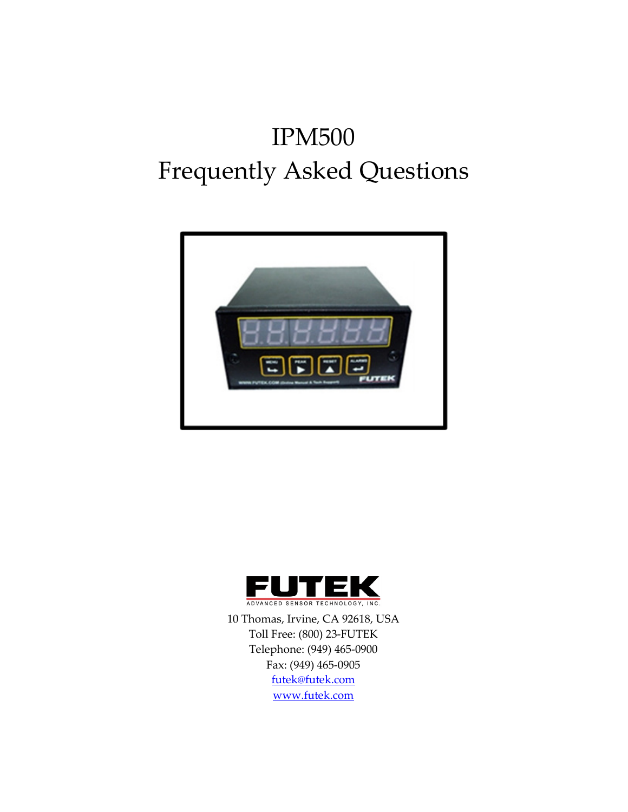# IPM500 Frequently Asked Questions





10 Thomas, Irvine, CA 92618, USA Toll Free: (800) 23-FUTEK Telephone: (949) 465-0900 Fax: (949) 465-0905 futek@futek.com www.futek.com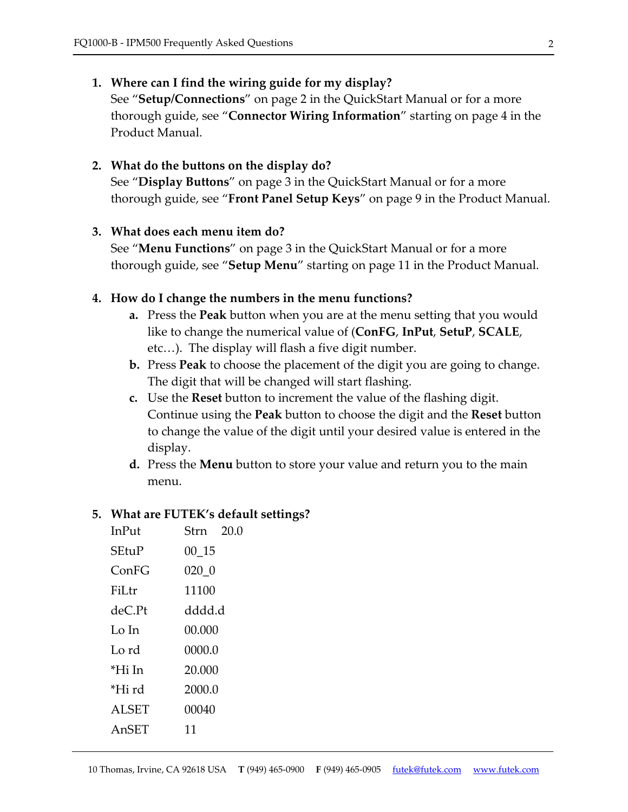# 1. Where can I find the wiring guide for my display?

See "Setup/Connections" on page 2 in the QuickStart Manual or for a more thorough guide, see "Connector Wiring Information" starting on page 4 in the Product Manual.

## 2. What do the buttons on the display do?

See "Display Buttons" on page 3 in the QuickStart Manual or for a more thorough guide, see "Front Panel Setup Keys" on page 9 in the Product Manual.

## 3. What does each menu item do?

See "Menu Functions" on page 3 in the QuickStart Manual or for a more thorough guide, see "Setup Menu" starting on page 11 in the Product Manual.

# 4. How do I change the numbers in the menu functions?

- **a.** Press the **Peak** button when you are at the menu setting that you would like to change the numerical value of (ConFG, InPut, SetuP, SCALE, etc…). The display will flash a five digit number.
- **b.** Press **Peak** to choose the placement of the digit you are going to change. The digit that will be changed will start flashing.
- c. Use the Reset button to increment the value of the flashing digit. Continue using the Peak button to choose the digit and the Reset button to change the value of the digit until your desired value is entered in the display.
- **d.** Press the **Menu** button to store your value and return you to the main menu.

## 5. What are FUTEK's default settings?

| InPut        | Strn 20.0 |
|--------------|-----------|
| SEtuP        | 00 15     |
| ConFG        | 020 0     |
| FiLtr        | 11100     |
| deC.Pt       | dddd.d    |
| Lo In        | 00.000    |
| Lo rd        | 0000.0    |
| *Hi In       | 20.000    |
| *Hi rd       | 2000.0    |
| <b>ALSET</b> | 00040     |
| AnSET        | 11        |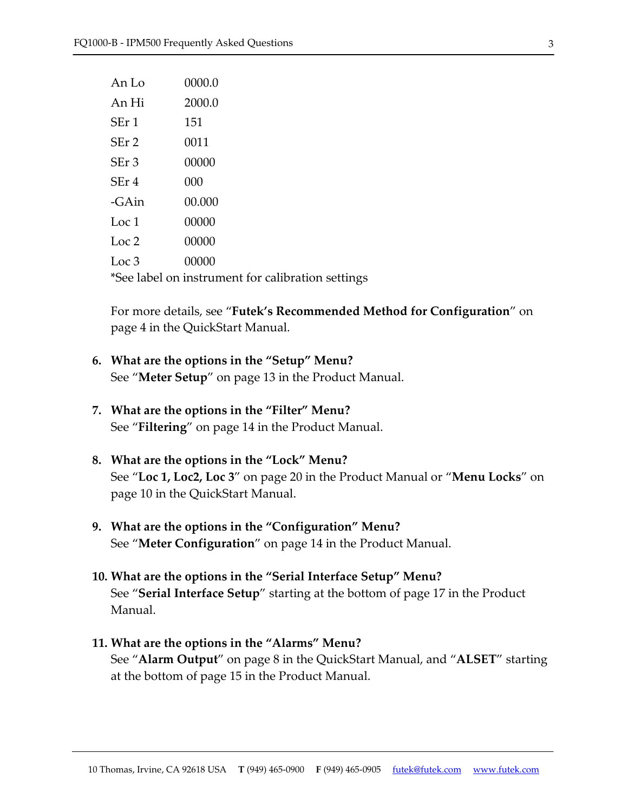| An Lo                                             | 0000.0 |  |
|---------------------------------------------------|--------|--|
| An Hi                                             | 2000.0 |  |
| SEr 1                                             | 151    |  |
| SEr 2                                             | 0011   |  |
| SEr <sub>3</sub>                                  | 00000  |  |
| SEr 4                                             | 000    |  |
| -GAin                                             | 00.000 |  |
| Loc 1                                             | 00000  |  |
| Loc 2                                             | 00000  |  |
| Loc <sub>3</sub>                                  | 00000  |  |
| *See label on instrument for calibration settings |        |  |

For more details, see "Futek's Recommended Method for Configuration" on page 4 in the QuickStart Manual.

- 6. What are the options in the "Setup" Menu? See "Meter Setup" on page 13 in the Product Manual.
- 7. What are the options in the "Filter" Menu? See "**Filtering**" on page 14 in the Product Manual.
- 8. What are the options in the "Lock" Menu? See "Loc 1, Loc2, Loc 3" on page 20 in the Product Manual or "Menu Locks" on page 10 in the QuickStart Manual.
- 9. What are the options in the "Configuration" Menu? See "Meter Configuration" on page 14 in the Product Manual.
- 10. What are the options in the "Serial Interface Setup" Menu? See "Serial Interface Setup" starting at the bottom of page 17 in the Product Manual.
- 11. What are the options in the "Alarms" Menu? See "Alarm Output" on page 8 in the QuickStart Manual, and "ALSET" starting at the bottom of page 15 in the Product Manual.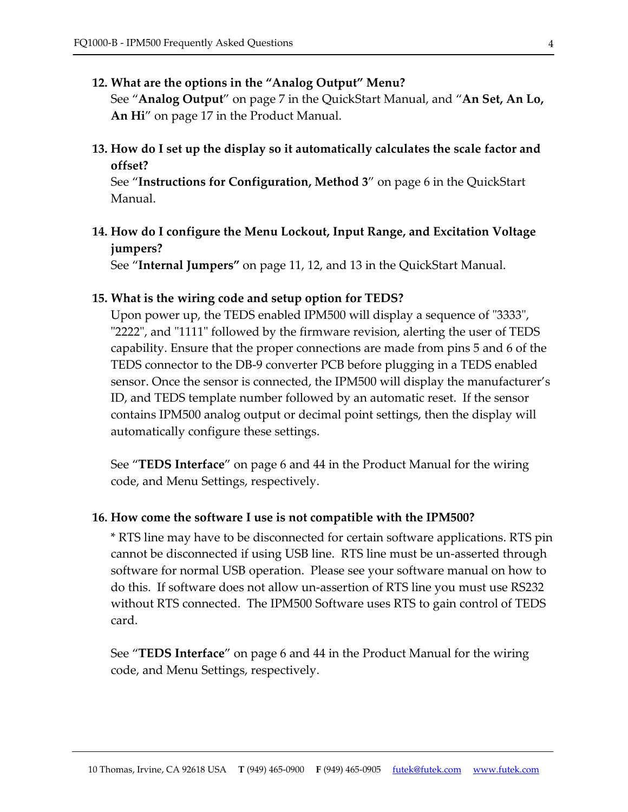#### 12. What are the options in the "Analog Output" Menu?

See "Analog Output" on page 7 in the QuickStart Manual, and "An Set, An Lo, An Hi<sup>"</sup> on page 17 in the Product Manual.

13. How do I set up the display so it automatically calculates the scale factor and offset?

See "Instructions for Configuration, Method 3" on page 6 in the QuickStart Manual.

14. How do I configure the Menu Lockout, Input Range, and Excitation Voltage jumpers?

See "Internal Jumpers" on page 11, 12, and 13 in the QuickStart Manual.

### 15. What is the wiring code and setup option for TEDS?

Upon power up, the TEDS enabled IPM500 will display a sequence of "3333", "2222", and "1111" followed by the firmware revision, alerting the user of TEDS capability. Ensure that the proper connections are made from pins 5 and 6 of the TEDS connector to the DB-9 converter PCB before plugging in a TEDS enabled sensor. Once the sensor is connected, the IPM500 will display the manufacturer's ID, and TEDS template number followed by an automatic reset. If the sensor contains IPM500 analog output or decimal point settings, then the display will automatically configure these settings.

See "TEDS Interface" on page 6 and 44 in the Product Manual for the wiring code, and Menu Settings, respectively.

#### 16. How come the software I use is not compatible with the IPM500?

\* RTS line may have to be disconnected for certain software applications. RTS pin cannot be disconnected if using USB line. RTS line must be un-asserted through software for normal USB operation. Please see your software manual on how to do this. If software does not allow un-assertion of RTS line you must use RS232 without RTS connected. The IPM500 Software uses RTS to gain control of TEDS card.

See "TEDS Interface" on page 6 and 44 in the Product Manual for the wiring code, and Menu Settings, respectively.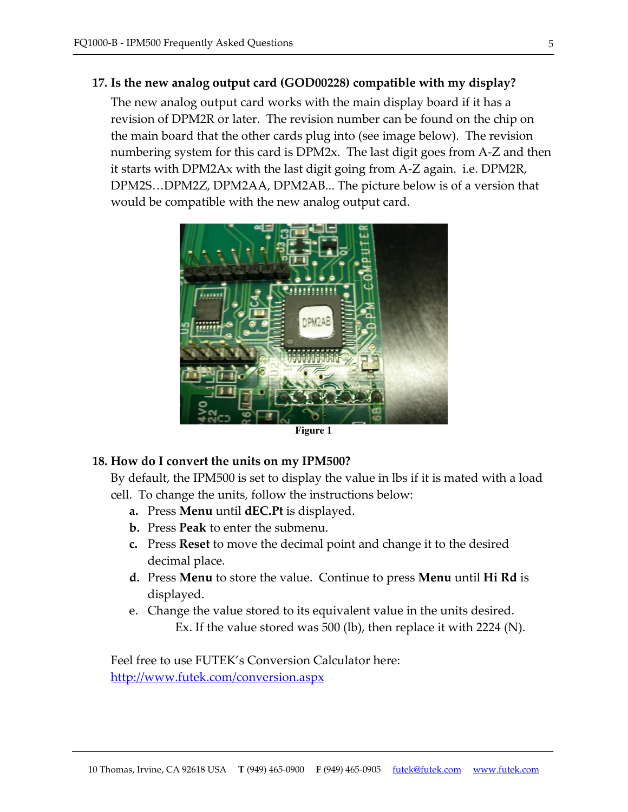## 17. Is the new analog output card (GOD00228) compatible with my display?

The new analog output card works with the main display board if it has a revision of DPM2R or later. The revision number can be found on the chip on the main board that the other cards plug into (see image below). The revision numbering system for this card is DPM2x. The last digit goes from A-Z and then it starts with DPM2Ax with the last digit going from A-Z again. i.e. DPM2R, DPM2S…DPM2Z, DPM2AA, DPM2AB... The picture below is of a version that would be compatible with the new analog output card.



**Figure 1**

#### 18. How do I convert the units on my IPM500?

By default, the IPM500 is set to display the value in lbs if it is mated with a load cell. To change the units, follow the instructions below:

- a. Press **Menu** until **dEC.Pt** is displayed.
- **b.** Press **Peak** to enter the submenu.
- c. Press Reset to move the decimal point and change it to the desired decimal place.
- d. Press Menu to store the value. Continue to press Menu until Hi Rd is displayed.
- e. Change the value stored to its equivalent value in the units desired. Ex. If the value stored was 500 (lb), then replace it with 2224 (N).

Feel free to use FUTEK's Conversion Calculator here: http://www.futek.com/conversion.aspx